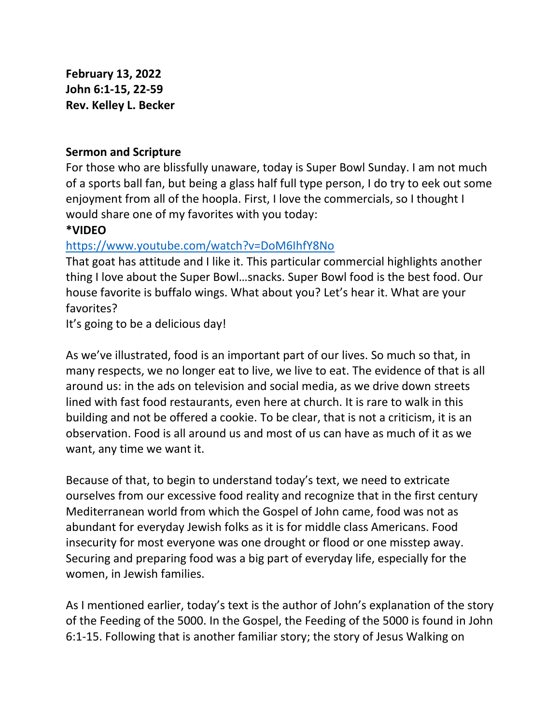**February 13, 2022 John 6:1-15, 22-59 Rev. Kelley L. Becker**

## **Sermon and Scripture**

For those who are blissfully unaware, today is Super Bowl Sunday. I am not much of a sports ball fan, but being a glass half full type person, I do try to eek out some enjoyment from all of the hoopla. First, I love the commercials, so I thought I would share one of my favorites with you today:

## **\*VIDEO**

## <https://www.youtube.com/watch?v=DoM6IhfY8No>

That goat has attitude and I like it. This particular commercial highlights another thing I love about the Super Bowl…snacks. Super Bowl food is the best food. Our house favorite is buffalo wings. What about you? Let's hear it. What are your favorites?

It's going to be a delicious day!

As we've illustrated, food is an important part of our lives. So much so that, in many respects, we no longer eat to live, we live to eat. The evidence of that is all around us: in the ads on television and social media, as we drive down streets lined with fast food restaurants, even here at church. It is rare to walk in this building and not be offered a cookie. To be clear, that is not a criticism, it is an observation. Food is all around us and most of us can have as much of it as we want, any time we want it.

Because of that, to begin to understand today's text, we need to extricate ourselves from our excessive food reality and recognize that in the first century Mediterranean world from which the Gospel of John came, food was not as abundant for everyday Jewish folks as it is for middle class Americans. Food insecurity for most everyone was one drought or flood or one misstep away. Securing and preparing food was a big part of everyday life, especially for the women, in Jewish families.

As I mentioned earlier, today's text is the author of John's explanation of the story of the Feeding of the 5000. In the Gospel, the Feeding of the 5000 is found in John 6:1-15. Following that is another familiar story; the story of Jesus Walking on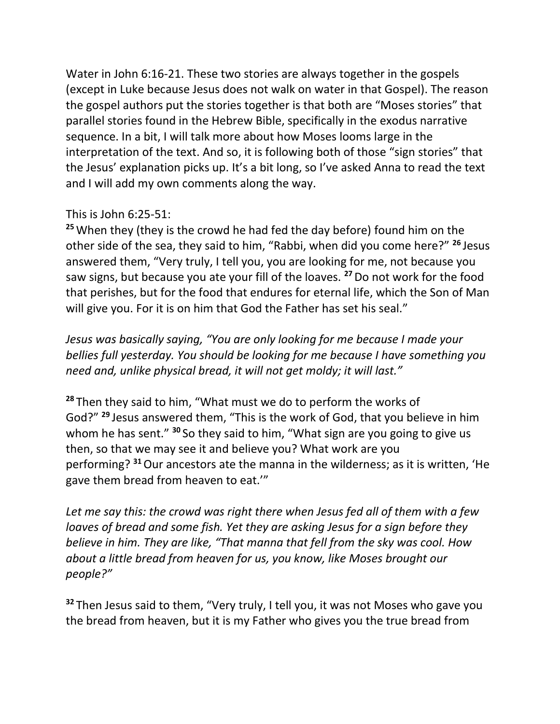Water in John 6:16-21. These two stories are always together in the gospels (except in Luke because Jesus does not walk on water in that Gospel). The reason the gospel authors put the stories together is that both are "Moses stories" that parallel stories found in the Hebrew Bible, specifically in the exodus narrative sequence. In a bit, I will talk more about how Moses looms large in the interpretation of the text. And so, it is following both of those "sign stories" that the Jesus' explanation picks up. It's a bit long, so I've asked Anna to read the text and I will add my own comments along the way.

## This is John 6:25-51:

**<sup>25</sup>**When they (they is the crowd he had fed the day before) found him on the other side of the sea, they said to him, "Rabbi, when did you come here?" **<sup>26</sup>** Jesus answered them, "Very truly, I tell you, you are looking for me, not because you saw signs, but because you ate your fill of the loaves. **<sup>27</sup>**Do not work for the food that perishes, but for the food that endures for eternal life, which the Son of Man will give you. For it is on him that God the Father has set his seal."

*Jesus was basically saying, "You are only looking for me because I made your bellies full yesterday. You should be looking for me because I have something you need and, unlike physical bread, it will not get moldy; it will last."*

**<sup>28</sup>** Then they said to him, "What must we do to perform the works of God?" **<sup>29</sup>** Jesus answered them, "This is the work of God, that you believe in him whom he has sent." **<sup>30</sup>** So they said to him, "What sign are you going to give us then, so that we may see it and believe you? What work are you performing? **<sup>31</sup>**Our ancestors ate the manna in the wilderness; as it is written, 'He gave them bread from heaven to eat.'"

*Let me say this: the crowd was right there when Jesus fed all of them with a few loaves of bread and some fish. Yet they are asking Jesus for a sign before they believe in him. They are like, "That manna that fell from the sky was cool. How about a little bread from heaven for us, you know, like Moses brought our people?"*

**<sup>32</sup>** Then Jesus said to them, "Very truly, I tell you, it was not Moses who gave you the bread from heaven, but it is my Father who gives you the true bread from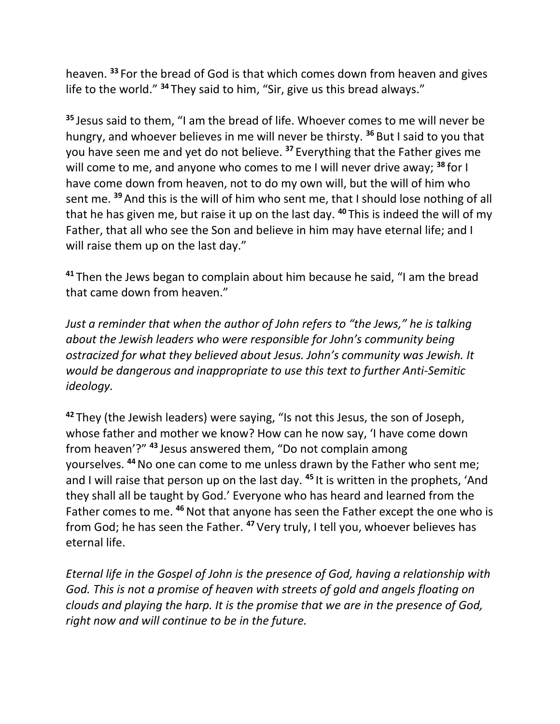heaven. **<sup>33</sup>** For the bread of God is that which comes down from heaven and gives life to the world." **<sup>34</sup>** They said to him, "Sir, give us this bread always."

**<sup>35</sup>** Jesus said to them, "I am the bread of life. Whoever comes to me will never be hungry, and whoever believes in me will never be thirsty. **<sup>36</sup>** But I said to you that you have seen me and yet do not believe. **<sup>37</sup>** Everything that the Father gives me will come to me, and anyone who comes to me I will never drive away; **<sup>38</sup>** for I have come down from heaven, not to do my own will, but the will of him who sent me. **<sup>39</sup>** And this is the will of him who sent me, that I should lose nothing of all that he has given me, but raise it up on the last day. **<sup>40</sup>** This is indeed the will of my Father, that all who see the Son and believe in him may have eternal life; and I will raise them up on the last day."

**<sup>41</sup>** Then the Jews began to complain about him because he said, "I am the bread that came down from heaven."

*Just a reminder that when the author of John refers to "the Jews," he is talking about the Jewish leaders who were responsible for John's community being ostracized for what they believed about Jesus. John's community was Jewish. It would be dangerous and inappropriate to use this text to further Anti-Semitic ideology.*

**<sup>42</sup>** They (the Jewish leaders) were saying, "Is not this Jesus, the son of Joseph, whose father and mother we know? How can he now say, 'I have come down from heaven'?" **<sup>43</sup>** Jesus answered them, "Do not complain among yourselves. **<sup>44</sup>**No one can come to me unless drawn by the Father who sent me; and I will raise that person up on the last day. **<sup>45</sup>** It is written in the prophets, 'And they shall all be taught by God.' Everyone who has heard and learned from the Father comes to me. <sup>46</sup> Not that anyone has seen the Father except the one who is from God; he has seen the Father. **<sup>47</sup>** Very truly, I tell you, whoever believes has eternal life.

*Eternal life in the Gospel of John is the presence of God, having a relationship with God. This is not a promise of heaven with streets of gold and angels floating on clouds and playing the harp. It is the promise that we are in the presence of God, right now and will continue to be in the future.*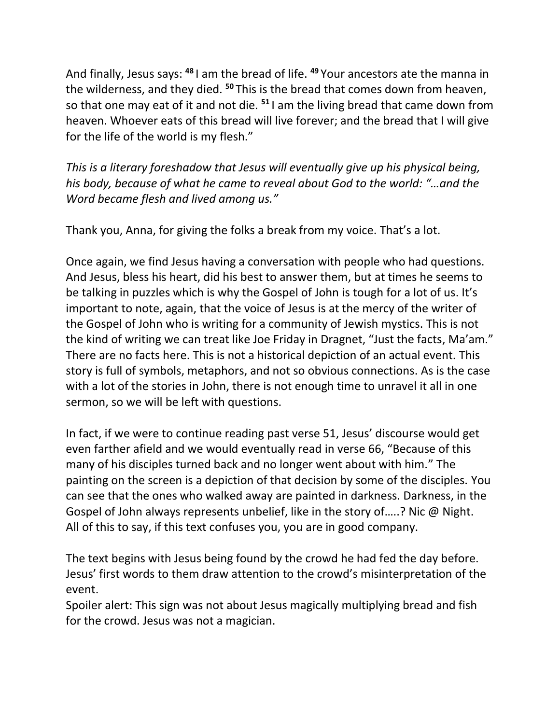And finally, Jesus says: **<sup>48</sup>** I am the bread of life. **<sup>49</sup>** Your ancestors ate the manna in the wilderness, and they died. **<sup>50</sup>** This is the bread that comes down from heaven, so that one may eat of it and not die. **<sup>51</sup>** I am the living bread that came down from heaven. Whoever eats of this bread will live forever; and the bread that I will give for the life of the world is my flesh."

*This is a literary foreshadow that Jesus will eventually give up his physical being, his body, because of what he came to reveal about God to the world: "…and the Word became flesh and lived among us."*

Thank you, Anna, for giving the folks a break from my voice. That's a lot.

Once again, we find Jesus having a conversation with people who had questions. And Jesus, bless his heart, did his best to answer them, but at times he seems to be talking in puzzles which is why the Gospel of John is tough for a lot of us. It's important to note, again, that the voice of Jesus is at the mercy of the writer of the Gospel of John who is writing for a community of Jewish mystics. This is not the kind of writing we can treat like Joe Friday in Dragnet, "Just the facts, Ma'am." There are no facts here. This is not a historical depiction of an actual event. This story is full of symbols, metaphors, and not so obvious connections. As is the case with a lot of the stories in John, there is not enough time to unravel it all in one sermon, so we will be left with questions.

In fact, if we were to continue reading past verse 51, Jesus' discourse would get even farther afield and we would eventually read in verse 66, "Because of this many of his disciples turned back and no longer went about with him." The painting on the screen is a depiction of that decision by some of the disciples. You can see that the ones who walked away are painted in darkness. Darkness, in the Gospel of John always represents unbelief, like in the story of…..? Nic @ Night. All of this to say, if this text confuses you, you are in good company.

The text begins with Jesus being found by the crowd he had fed the day before. Jesus' first words to them draw attention to the crowd's misinterpretation of the event.

Spoiler alert: This sign was not about Jesus magically multiplying bread and fish for the crowd. Jesus was not a magician.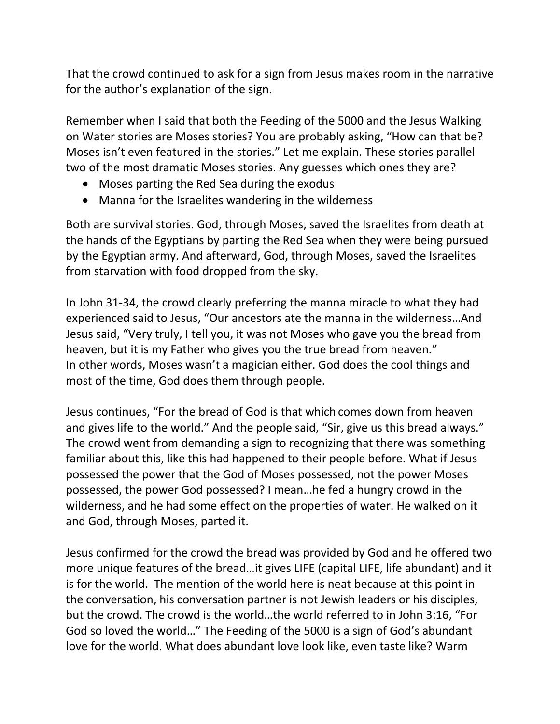That the crowd continued to ask for a sign from Jesus makes room in the narrative for the author's explanation of the sign.

Remember when I said that both the Feeding of the 5000 and the Jesus Walking on Water stories are Moses stories? You are probably asking, "How can that be? Moses isn't even featured in the stories." Let me explain. These stories parallel two of the most dramatic Moses stories. Any guesses which ones they are?

- Moses parting the Red Sea during the exodus
- Manna for the Israelites wandering in the wilderness

Both are survival stories. God, through Moses, saved the Israelites from death at the hands of the Egyptians by parting the Red Sea when they were being pursued by the Egyptian army. And afterward, God, through Moses, saved the Israelites from starvation with food dropped from the sky.

In John 31-34, the crowd clearly preferring the manna miracle to what they had experienced said to Jesus, "Our ancestors ate the manna in the wilderness…And Jesus said, "Very truly, I tell you, it was not Moses who gave you the bread from heaven, but it is my Father who gives you the true bread from heaven." In other words, Moses wasn't a magician either. God does the cool things and most of the time, God does them through people.

Jesus continues, "For the bread of God is that which comes down from heaven and gives life to the world." And the people said, "Sir, give us this bread always." The crowd went from demanding a sign to recognizing that there was something familiar about this, like this had happened to their people before. What if Jesus possessed the power that the God of Moses possessed, not the power Moses possessed, the power God possessed? I mean…he fed a hungry crowd in the wilderness, and he had some effect on the properties of water. He walked on it and God, through Moses, parted it.

Jesus confirmed for the crowd the bread was provided by God and he offered two more unique features of the bread…it gives LIFE (capital LIFE, life abundant) and it is for the world. The mention of the world here is neat because at this point in the conversation, his conversation partner is not Jewish leaders or his disciples, but the crowd. The crowd is the world…the world referred to in John 3:16, "For God so loved the world…" The Feeding of the 5000 is a sign of God's abundant love for the world. What does abundant love look like, even taste like? Warm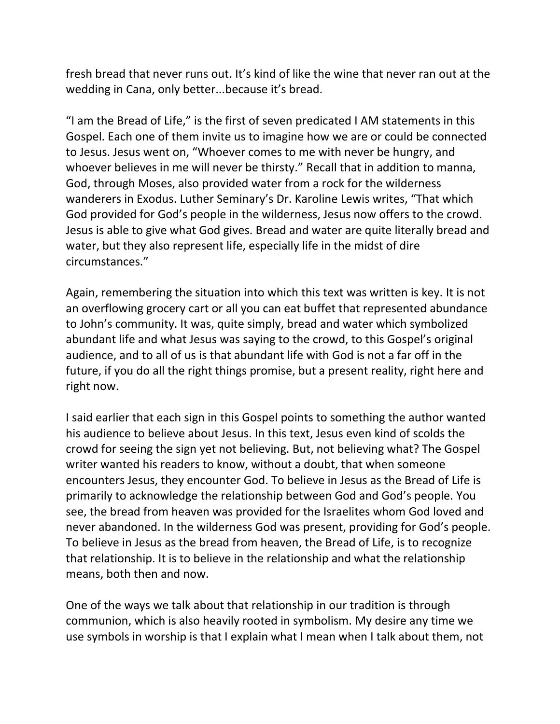fresh bread that never runs out. It's kind of like the wine that never ran out at the wedding in Cana, only better...because it's bread.

"I am the Bread of Life," is the first of seven predicated I AM statements in this Gospel. Each one of them invite us to imagine how we are or could be connected to Jesus. Jesus went on, "Whoever comes to me with never be hungry, and whoever believes in me will never be thirsty." Recall that in addition to manna, God, through Moses, also provided water from a rock for the wilderness wanderers in Exodus. Luther Seminary's Dr. Karoline Lewis writes, "That which God provided for God's people in the wilderness, Jesus now offers to the crowd. Jesus is able to give what God gives. Bread and water are quite literally bread and water, but they also represent life, especially life in the midst of dire circumstances."

Again, remembering the situation into which this text was written is key. It is not an overflowing grocery cart or all you can eat buffet that represented abundance to John's community. It was, quite simply, bread and water which symbolized abundant life and what Jesus was saying to the crowd, to this Gospel's original audience, and to all of us is that abundant life with God is not a far off in the future, if you do all the right things promise, but a present reality, right here and right now.

I said earlier that each sign in this Gospel points to something the author wanted his audience to believe about Jesus. In this text, Jesus even kind of scolds the crowd for seeing the sign yet not believing. But, not believing what? The Gospel writer wanted his readers to know, without a doubt, that when someone encounters Jesus, they encounter God. To believe in Jesus as the Bread of Life is primarily to acknowledge the relationship between God and God's people. You see, the bread from heaven was provided for the Israelites whom God loved and never abandoned. In the wilderness God was present, providing for God's people. To believe in Jesus as the bread from heaven, the Bread of Life, is to recognize that relationship. It is to believe in the relationship and what the relationship means, both then and now.

One of the ways we talk about that relationship in our tradition is through communion, which is also heavily rooted in symbolism. My desire any time we use symbols in worship is that I explain what I mean when I talk about them, not